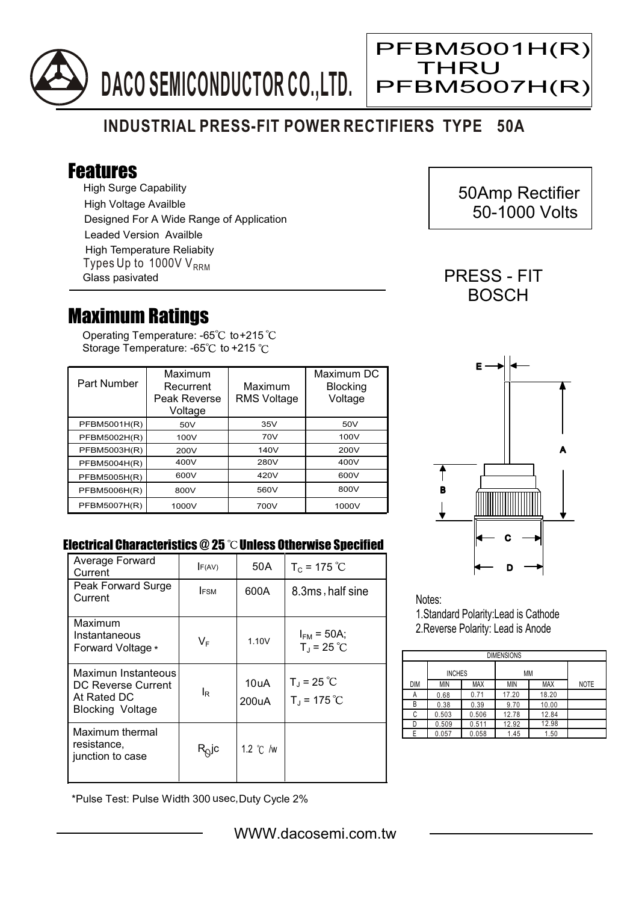

## **INDUSTRIAL PRESS-FIT POWER RECTIFIERS TYPE 50A**

## Features

High Surge Capability High Voltage Availble Designed For A Wide Range of Application Leaded Version Availble Types Up to  $1000VV<sub>RRM</sub>$ High Temperature Reliabity Glass pasivated

## Maximum Ratings

Operating Temperature: -65 $^{\circ}\textrm{C}$  to+215 Storage Temperature: -65°C to +215 °C

| Part Number         | Maximum<br>Recurrent<br>Peak Reverse<br>Voltage | Maximum<br><b>RMS Voltage</b> | Maximum DC<br><b>Blocking</b><br>Voltage |
|---------------------|-------------------------------------------------|-------------------------------|------------------------------------------|
| PFBM5001H(R)        | 50V                                             | 35V                           | 50V                                      |
| PFBM5002H(R)        | 100V                                            | 70V                           | 100V                                     |
| PFBM5003H(R)        | 200V                                            | 140V                          | 200V                                     |
| PFBM5004H(R)        | 400V                                            | 280V                          | 400V                                     |
| PFBM5005H(R)        | 600V                                            | 420V                          | 600V                                     |
| PFBM5006H(R)        | 800V                                            | 560V                          | 800V                                     |
| <b>PFBM5007H(R)</b> | 1000V                                           | 700V                          | 1000V                                    |

## Electrical Characteristics @ 25 °C Unless Otherwise Specified

| Average Forward<br>Current                                                          | F(AV)                        | 50A                        | $T_c = 175 °C$                        |
|-------------------------------------------------------------------------------------|------------------------------|----------------------------|---------------------------------------|
| Peak Forward Surge<br>Current                                                       | <b>IFSM</b>                  | 600A                       | 8.3ms, half sine                      |
| Maximum<br>Instantaneous<br>Forward Voltage *                                       | VF                           | 1.10V                      | $I_{FM}$ = 50A;<br>$T_{J}$ = 25 °C    |
| Maximun Instanteous<br>DC Reverse Current<br>At Rated DC<br><b>Blocking Voltage</b> | l <sub>R</sub>               | 10uA<br>200 <sub>U</sub> A | $T_J = 25 °C$<br>$T_{\rm J}$ = 175 °C |
| Maximum thermal<br>resistance,<br>junction to case                                  | $\mathsf{R}_{\mathsf{Q}}$ jc | 1.2 $\degree$ C /w         |                                       |

\*Pulse Test: Pulse Width 300 usec,Duty Cycle 2%

 50Amp Rectifier 50-1000 Volts

PRESS - FIT **BOSCH** 

PFBM5001H(R)

**THRU** 

Ξ

PFBM5007H(R)



Notes:

1.Standard Polarity:Lead is Cathode 2.Reverse Polarity: Lead is Anode

| <b>DIMENSIONS</b> |               |            |            |            |             |  |  |  |
|-------------------|---------------|------------|------------|------------|-------------|--|--|--|
|                   | <b>INCHES</b> |            | МM         |            |             |  |  |  |
| <b>DIM</b>        | MIN           | <b>MAX</b> | <b>MIN</b> | <b>MAX</b> | <b>NOTE</b> |  |  |  |
| А                 | 0.68          | 0.71       | 17.20      | 18.20      |             |  |  |  |
| В                 | 0.38          | 0.39       | 9.70       | 10.00      |             |  |  |  |
| С                 | 0.503         | 0.506      | 12.78      | 12.84      |             |  |  |  |
| D                 | 0.509         | 0.511      | 12.92      | 12.98      |             |  |  |  |
| F                 | 0.057         | 0.058      | 1.45       | 1.50       |             |  |  |  |